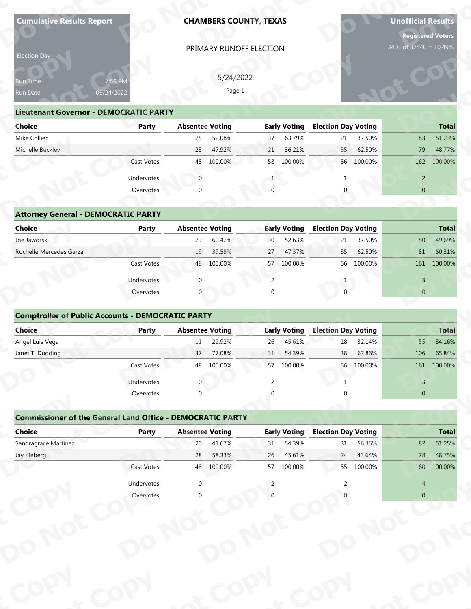| Election Day                                                                       |              |                        | <b>CHAMBERS COUNTY, TEXAS</b> |                 |                     |                            |            | <b>Registered Voters</b> | <b>Unofficial Results</b> |
|------------------------------------------------------------------------------------|--------------|------------------------|-------------------------------|-----------------|---------------------|----------------------------|------------|--------------------------|---------------------------|
|                                                                                    |              |                        | PRIMARY RUNOFF ELECTION       |                 |                     |                            |            | 3403 of 32440 = 10.49%   |                           |
|                                                                                    |              |                        |                               |                 |                     |                            |            |                          |                           |
| Run Time                                                                           | 7:59 PM      |                        | 5/24/2022                     |                 |                     |                            |            |                          |                           |
| Run Date                                                                           | 05/24/2022   |                        | Page 1                        |                 |                     |                            |            |                          |                           |
| <b>Lieutenant Governor - DEMOCRATIC PARTY</b>                                      |              |                        |                               |                 |                     |                            |            |                          |                           |
| <b>Choice</b>                                                                      | Party        |                        | <b>Absentee Voting</b>        |                 | <b>Early Voting</b> | <b>Election Day Voting</b> |            |                          | <b>Total</b>              |
| Mike Collier                                                                       |              | 25                     | 52.08%                        | 37              | 63.79%              | 21                         | 37.50%     | 83                       | 51.23%                    |
| Michelle Beckley                                                                   |              | 23                     | 47.92%                        | 21              | 36.21%              | 35                         | 62.50%     | 79                       | 48.77%                    |
|                                                                                    | Cast Votes:  |                        | 48 100.00%                    |                 | 58 100.00%          |                            | 56 100.00% |                          | 162 100.00%               |
|                                                                                    | Undervotes:  | $\overline{0}$         |                               |                 |                     |                            |            | $\overline{2}$           |                           |
|                                                                                    | Overvotes:   |                        |                               |                 |                     |                            |            | $\overline{0}$           |                           |
|                                                                                    |              |                        |                               |                 |                     |                            |            |                          |                           |
| <b>Attorney General - DEMOCRATIC PARTY</b><br><b>Choice</b>                        | <b>Party</b> | <b>Absentee Voting</b> |                               |                 | <b>Early Voting</b> | <b>Election Day Voting</b> |            |                          | <b>Total</b>              |
| Joe Jaworski                                                                       |              | 29                     | 60.42%                        | 30              | 52.63%              | 21                         | 37.50%     | 80                       | 49.69%                    |
| Rochelle Mercedes Garza                                                            |              | 19                     | 39.58%                        | 27              | 47.37%              | 35                         | 62.50%     | 81                       | 50.31%                    |
|                                                                                    | Cast Votes:  |                        | 48 100.00%                    | 57              | 100.00%             |                            | 56 100.00% |                          | 161 100.00%               |
|                                                                                    | Undervotes:  |                        |                               | 2               |                     |                            |            | $\overline{3}$           |                           |
|                                                                                    | Overvotes:   |                        |                               | $\Omega$        |                     | $\Omega$                   |            | $\overline{0}$           |                           |
| <b>Comptroller of Public Accounts - DEMOCRATIC PARTY</b><br>Choice                 | Party        | <b>Absentee Voting</b> |                               |                 | <b>Early Voting</b> | <b>Election Day Voting</b> |            |                          | Total                     |
| Angel Luis Vega                                                                    |              | 11                     | 22.92%                        | 26 <sub>1</sub> | 45.61%              | $18\,$                     | 32.14%     | 55                       | 34.16%                    |
| Janet T. Dudding                                                                   |              | 37                     | 77.08%                        | 31              | 54.39%              | 38                         | 67.86%     | 106                      | 65.84%                    |
|                                                                                    | Cast Votes:  |                        | 48 100.00%                    | 57              | 100.00%             |                            | 56 100.00% |                          | 161 100.00%               |
|                                                                                    |              |                        |                               | 2               |                     |                            |            | $\mathbf{3}$             |                           |
|                                                                                    | Undervotes:  |                        |                               |                 |                     |                            |            | $\overline{0}$           |                           |
|                                                                                    | Overvotes:   | $\Omega$               |                               |                 |                     |                            |            |                          |                           |
|                                                                                    |              |                        |                               |                 |                     |                            |            |                          |                           |
| <b>Commissioner of the General Land Office - DEMOCRATIC PARTY</b><br><b>Choice</b> | Party        | <b>Absentee Voting</b> |                               |                 | <b>Early Voting</b> | <b>Election Day Voting</b> |            |                          | <b>Total</b>              |
| Sandragrace Martinez                                                               |              | 20                     | 41.67%                        | 31              | 54.39%              | 31                         | 56.36%     | 82                       |                           |
| Jay Kleberg                                                                        |              | 28                     | 58.33%                        | 26              | 45.61%              | 24                         | 43.64%     | 78                       | 51.25%<br>48.75%          |
|                                                                                    | Cast Votes:  |                        | 48 100.00%                    | 57              | 100.00%             | 55                         | 100.00%    | 160                      | 100.00%                   |
|                                                                                    | Undervotes:  | $\mathbf 0$            |                               | $\overline{2}$  |                     |                            |            | $\overline{4}$           |                           |

| <b>Lieutenant Governor - DEMOCRATIC PARTY</b> |             |                |                        |    |                     |                            |               |                |              |
|-----------------------------------------------|-------------|----------------|------------------------|----|---------------------|----------------------------|---------------|----------------|--------------|
| <b>Choice</b>                                 | Party       |                | <b>Absentee Voting</b> |    | <b>Early Voting</b> | <b>Election Day Voting</b> |               |                | <b>Total</b> |
| Mike Collier                                  |             | 25             | 52.08%                 | 37 | 63.79%              |                            | 21<br>37.50%  | 83             | 51.23%       |
| Michelle Beckley                              |             | 23             | 47.92%                 | 21 | 36.21%              |                            | 62.50%<br>35  | 79             | 48.77%       |
|                                               | Cast Votes: | 48             | 100.00%                | 58 | 100.00%             |                            | 100.00%<br>56 | 162            | 100.00%      |
|                                               | Undervotes: | $\overline{0}$ |                        |    |                     |                            |               | 2              |              |
|                                               | Overvotes:  | $\mathbf{0}$   |                        |    |                     |                            |               | $\overline{0}$ |              |
| <b>Attorney General - DEMOCRATIC PARTY</b>    |             |                |                        |    |                     |                            |               |                |              |
| Choice                                        | Party       |                | <b>Absentee Voting</b> |    | <b>Early Voting</b> | <b>Election Day Voting</b> |               |                | <b>Total</b> |
| Joe Jaworski                                  |             | 29             | 60.42%                 | 30 | 52.63%              |                            | 37.50%<br>21  | 80             | 49.69%       |
| Rochelle Mercedes Garza                       |             | 19             | 39.58%                 | 27 | 47.37%              |                            | 62.50%<br>35  | 81             | 50.31%       |
|                                               | Cast Votes: | 48             | 100.00%                | 57 | 100.00%             |                            | 100.00%<br>56 | 161            | 100.00%      |

|  | <b>Attorney General - DEMOCRATIC PARTY</b> |  |
|--|--------------------------------------------|--|
|  |                                            |  |

| Run Time<br>Run Date                                     | 7:59 PM<br>05/24/2022 |                        | 5/24/2022<br>Page 1 |         |                            |         |                |              |
|----------------------------------------------------------|-----------------------|------------------------|---------------------|---------|----------------------------|---------|----------------|--------------|
| <b>Lieutenant Governor - DEMOCRATIC PARTY</b>            |                       |                        |                     |         |                            |         |                |              |
| <b>Choice</b>                                            | Party                 | <b>Absentee Voting</b> | <b>Early Voting</b> |         | <b>Election Day Voting</b> |         |                | <b>Total</b> |
| Mike Collier                                             |                       | 25<br>52.08%           | 37                  | 63.79%  | 21                         | 37.50%  | 83             | 51.23%       |
| Michelle Beckley                                         |                       | 47.92%<br>23           | 21                  | 36.21%  | 35                         | 62.50%  | 79             | 48.77%       |
|                                                          | Cast Votes:           | 100.00%<br>48          | 58                  | 100.00% | 56                         | 100.00% | 162            | 100.00%      |
|                                                          | Undervotes:           | $\overline{0}$         |                     |         |                            |         | $\overline{2}$ |              |
|                                                          | Overvotes:            | $\Omega$               |                     |         |                            |         | $\overline{0}$ |              |
|                                                          |                       |                        |                     |         |                            |         |                |              |
| <b>Attorney General - DEMOCRATIC PARTY</b>               |                       |                        |                     |         |                            |         |                |              |
| <b>Choice</b>                                            | Party                 | <b>Absentee Voting</b> | <b>Early Voting</b> |         | <b>Election Day Voting</b> |         |                | <b>Total</b> |
| Joe Jaworski                                             |                       | 60.42%<br>29           | 30                  | 52.63%  | 21                         | 37.50%  | 80             | 49.69%       |
| Rochelle Mercedes Garza                                  |                       | 19<br>39.58%           | 27                  | 47.37%  | 35                         | 62.50%  | 81             | 50.31%       |
|                                                          | Cast Votes:           | 48 100.00%             | 57                  | 100.00% | 56                         | 100.00% | 161            | 100.00%      |
|                                                          | Undervotes:           | $\Omega$               | 2                   |         |                            |         | $\overline{3}$ |              |
|                                                          | Overvotes:            |                        | $\cap$              |         | $\Omega$                   |         | $\overline{0}$ |              |
| <b>Comptroller of Public Accounts - DEMOCRATIC PARTY</b> |                       |                        |                     |         |                            |         |                |              |
| Choice                                                   | Party                 | <b>Absentee Voting</b> | <b>Early Voting</b> |         | <b>Election Day Voting</b> |         |                | <b>Total</b> |
| Angel Luis Vega                                          |                       | 22.92%<br>11           | 26                  | 45.61%  | 18                         | 32.14%  | 55             | 34.16%       |
| Janet T. Dudding                                         |                       | 77.08%<br>37           | 31                  | 54.39%  | 38                         | 67.86%  | 106            | 65.84%       |
|                                                          | Cast Votes:           | 48 100.00%             | 57                  | 100.00% | 56 100.00%                 |         | 161            | 100.00%      |
|                                                          |                       |                        |                     |         |                            |         |                |              |

| Run Time                                                          | 7:59 PM      |                        | 5/24/2022<br>Page 1 |                |                      |                            |                   |                |                   |
|-------------------------------------------------------------------|--------------|------------------------|---------------------|----------------|----------------------|----------------------------|-------------------|----------------|-------------------|
| Run Date                                                          | 05/24/2022   |                        |                     |                |                      |                            |                   |                |                   |
| <b>Lieutenant Governor - DEMOCRATIC PARTY</b>                     |              |                        |                     |                |                      |                            |                   |                |                   |
| <b>Choice</b>                                                     | <b>Party</b> | <b>Absentee Voting</b> |                     |                | <b>Early Voting</b>  | <b>Election Day Voting</b> |                   |                | <b>Total</b>      |
| Mike Collier                                                      |              | 25                     | 52.08%              | 37             | 63.79%               | 21                         | 37.50%            | 83             | 51.23%            |
| Michelle Beckley                                                  | Cast Votes:  | 23<br>48               | 47.92%<br>100.00%   | 21             | 36.21%<br>58 100.00% | 35<br>56                   | 62.50%<br>100.00% | 79<br>162      | 48.77%<br>100.00% |
|                                                                   |              |                        |                     |                |                      |                            |                   |                |                   |
|                                                                   | Undervotes:  | $\overline{0}$         |                     | 1              |                      | 1                          |                   | $\overline{2}$ |                   |
|                                                                   | Overvotes:   | $\Omega$               |                     |                |                      | $\mathbf{0}$               |                   | $\mathbf{0}$   |                   |
|                                                                   |              |                        |                     |                |                      |                            |                   |                |                   |
| <b>Attorney General - DEMOCRATIC PARTY</b>                        |              |                        |                     |                |                      |                            |                   |                |                   |
| <b>Choice</b>                                                     | Party        | <b>Absentee Voting</b> |                     |                | <b>Early Voting</b>  | <b>Election Day Voting</b> |                   |                | <b>Total</b>      |
| Joe Jaworski                                                      |              | 29                     | 60.42%              | 30             | 52.63%               | 21                         | 37.50%            | 80             | 49.69%            |
| Rochelle Mercedes Garza                                           |              | 19                     | 39.58%              | 27             | 47.37%               | 35                         | 62.50%            | 81             | 50.31%            |
|                                                                   | Cast Votes:  |                        | 48 100.00%          |                | 57 100.00%           | 56                         | 100.00%           | 161            | 100.00%           |
|                                                                   | Undervotes:  | $\mathbf 0$            |                     | $\overline{2}$ |                      | $\mathbf{1}$               |                   | $\overline{3}$ |                   |
|                                                                   | Overvotes:   |                        |                     | $\Omega$       |                      | $\Omega$                   |                   | $\overline{0}$ |                   |
| <b>Comptroller of Public Accounts - DEMOCRATIC PARTY</b>          |              |                        |                     |                |                      |                            |                   |                |                   |
| Choice                                                            | Party        | <b>Absentee Voting</b> |                     |                | <b>Early Voting</b>  | <b>Election Day Voting</b> |                   |                | <b>Total</b>      |
| Angel Luis Vega                                                   |              | 11                     | 22.92%              | 26             | 45.61%               | 18                         | 32.14%            | 55             | 34.16%            |
| Janet T. Dudding                                                  |              | 37                     | 77.08%              | 31             | 54.39%               | 38                         | 67.86%            | 106            | 65.84%            |
|                                                                   | Cast Votes:  | 48                     | 100.00%             | 57             | 100.00%              |                            | 56 100.00%        | 161            | 100.00%           |
|                                                                   | Undervotes:  | $\Omega$               |                     | $\mathfrak{D}$ |                      | 1                          |                   | $\overline{3}$ |                   |
|                                                                   | Overvotes:   | $\Omega$               |                     |                |                      |                            |                   | $\pmb{0}$      |                   |
|                                                                   |              |                        |                     |                |                      |                            |                   |                |                   |
| <b>Commissioner of the General Land Office - DEMOCRATIC PARTY</b> |              |                        |                     |                |                      |                            |                   |                |                   |
| <b>Choice</b>                                                     | <b>Party</b> | <b>Absentee Voting</b> |                     |                | <b>Early Voting</b>  | <b>Election Day Voting</b> |                   |                | <b>Total</b>      |
| Sandragrace Martinez                                              |              | 20                     | 41.67%              | 31             | 54.39%               | 31                         | 56.36%            | 82             | 51.25%            |
| $\mathsf{L}$                                                      |              | $70^{\circ}$           | $EQ$ 220/           | 2C             | A E C 10             |                            | $21$ $12$ $610$   | 70             | AO7CO             |

| Run Time<br>Run Date                                              | 7:59 PM<br>05/24/2022 |                        | 5/24/2022<br>Page 1 |          |                     |                            |            |                |              |
|-------------------------------------------------------------------|-----------------------|------------------------|---------------------|----------|---------------------|----------------------------|------------|----------------|--------------|
| <b>Lieutenant Governor - DEMOCRATIC PARTY</b>                     |                       |                        |                     |          |                     |                            |            |                |              |
| <b>Choice</b>                                                     | <b>Party</b>          | <b>Absentee Voting</b> |                     |          | <b>Early Voting</b> | <b>Election Day Voting</b> |            |                | <b>Total</b> |
| Mike Collier                                                      |                       | 25                     | 52.08%              | 37       | 63.79%              | 21                         | 37.50%     | 83             | 51.23%       |
| Michelle Beckley                                                  |                       | 23                     | 47.92%              | 21       | 36.21%              | 35                         | 62.50%     | 79             | 48.77%       |
|                                                                   | Cast Votes:           | 48                     | 100.00%             |          | 58 100.00%          |                            | 56 100.00% | 162            | 100.00%      |
|                                                                   | Undervotes:           | $\overline{0}$         |                     |          |                     |                            |            | $\overline{2}$ |              |
|                                                                   | Overvotes:            | $\Omega$               |                     |          |                     |                            |            | $\overline{0}$ |              |
|                                                                   |                       |                        |                     |          |                     |                            |            |                |              |
| <b>Attorney General - DEMOCRATIC PARTY</b>                        |                       |                        |                     |          |                     |                            |            |                |              |
| <b>Choice</b>                                                     | <b>Party</b>          | <b>Absentee Voting</b> |                     |          | <b>Early Voting</b> | <b>Election Day Voting</b> |            |                | <b>Total</b> |
| Joe Jaworski                                                      |                       | 29                     | 60.42%              | 30       | 52.63%              | 21                         | 37.50%     | 80             | 49.69%       |
| Rochelle Mercedes Garza                                           |                       | 19                     | 39.58%              | 27       | 47.37%              | 35                         | 62.50%     | 81             | 50.31%       |
|                                                                   | Cast Votes:           |                        | 48 100.00%          | 57       | 100.00%             |                            | 56 100.00% |                | 161 100.00%  |
|                                                                   | Undervotes:           |                        |                     | 2        |                     |                            |            | $\overline{3}$ |              |
|                                                                   | Overvotes:            |                        |                     | $\Omega$ |                     | $\Omega$                   |            | $\overline{0}$ |              |
|                                                                   |                       |                        |                     |          |                     |                            |            |                |              |
| <b>Comptroller of Public Accounts - DEMOCRATIC PARTY</b>          |                       |                        |                     |          |                     |                            |            |                |              |
| Choice                                                            | Party                 | <b>Absentee Voting</b> |                     |          | <b>Early Voting</b> | <b>Election Day Voting</b> |            |                | <b>Total</b> |
| Angel Luis Vega                                                   |                       | 11                     | 22.92%              | 26       | 45.61%              | 18                         | 32.14%     | 55             | 34.16%       |
| Janet T. Dudding                                                  |                       | 37                     | 77.08%              | 31       | 54.39%              | 38                         | 67.86%     | 106            | 65.84%       |
|                                                                   | Cast Votes:           |                        | 48 100.00%          |          | 57 100.00%          |                            | 56 100.00% |                | 161 100.00%  |
|                                                                   | Undervotes:           | $\overline{0}$         |                     | 2        |                     |                            |            | 3              |              |
|                                                                   | Overvotes:            | $\Omega$               |                     | $\Omega$ |                     | ∩                          |            | $\overline{0}$ |              |
|                                                                   |                       |                        |                     |          |                     |                            |            |                |              |
| <b>Commissioner of the General Land Office - DEMOCRATIC PARTY</b> |                       |                        |                     |          |                     |                            |            |                |              |
| <b>Choice</b>                                                     | Party                 | <b>Absentee Voting</b> |                     |          | <b>Early Voting</b> | <b>Election Day Voting</b> |            |                | <b>Total</b> |
| Sandragrace Martinez                                              |                       | 20                     | 41.67%              | 31       | 54.39%              | 31                         | 56.36%     | 82             | 51.25%       |
| Jay Kleberg                                                       |                       | 28                     | 58.33%              | 26       | 45.61%              | 24                         | 43.64%     | 78             | 48.75%       |
|                                                                   | Cast Votes:           |                        | 48 100.00%          |          | 57 100.00%          |                            | 55 100.00% |                | 160 100.00%  |
|                                                                   | Undervotes:           | $\mathbf{0}$           |                     | 2        |                     |                            |            | 4              |              |
|                                                                   | Overvotes:            |                        |                     |          |                     |                            |            | $\Omega$       |              |
|                                                                   |                       |                        |                     |          |                     |                            |            |                |              |
|                                                                   |                       |                        |                     |          |                     |                            |            |                |              |
|                                                                   |                       |                        |                     |          |                     |                            |            |                |              |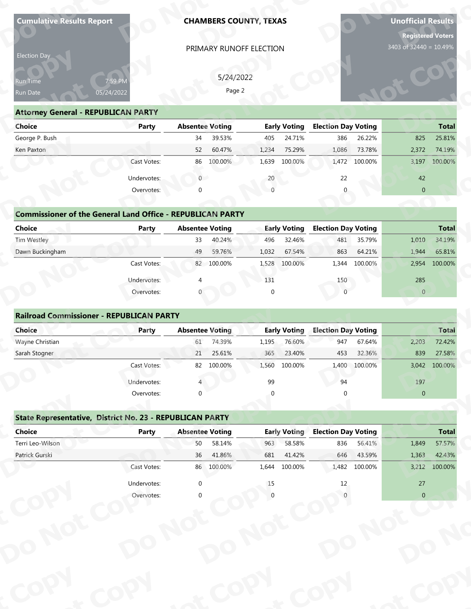| Election Day<br>Run Time<br>Run Date                              | 7:59 PM                   |                |                        |                         | <b>CHAMBERS COUNTY, TEXAS</b> |                            |                  |                        |                                  |  |
|-------------------------------------------------------------------|---------------------------|----------------|------------------------|-------------------------|-------------------------------|----------------------------|------------------|------------------------|----------------------------------|--|
|                                                                   |                           |                |                        | PRIMARY RUNOFF ELECTION |                               |                            |                  |                        |                                  |  |
|                                                                   |                           |                |                        |                         |                               |                            |                  | 3403 of 32440 = 10.49% |                                  |  |
|                                                                   |                           |                | 5/24/2022              |                         |                               |                            |                  |                        |                                  |  |
|                                                                   | 05/24/2022                |                | Page 2                 |                         |                               |                            |                  |                        |                                  |  |
|                                                                   |                           |                |                        |                         |                               |                            |                  |                        |                                  |  |
| <b>Attorney General - REPUBLICAN PARTY</b><br><b>Choice</b>       | <b>Party</b>              |                | <b>Absentee Voting</b> |                         | <b>Early Voting</b>           | <b>Election Day Voting</b> |                  |                        | <b>Total</b>                     |  |
| George P. Bush                                                    |                           | 34             | 39.53%                 | 405                     | 24.71%                        | 386                        | 26.22%           | 825                    | 25.81%                           |  |
| Ken Paxton                                                        |                           | 52             | 60.47%                 | 1,234                   | 75.29%                        | 1,086                      | 73.78%           | 2,372                  | 74.19%                           |  |
|                                                                   | Cast Votes:               |                | 86 100.00%             | 1,639                   | 100.00%                       |                            | 1,472 100.00%    | 3,197                  | 100.00%                          |  |
|                                                                   | Undervotes:               | $\overline{0}$ |                        | 20                      |                               | 22                         |                  | 42                     |                                  |  |
|                                                                   | Overvotes:                |                |                        |                         |                               |                            |                  | $\overline{0}$         |                                  |  |
|                                                                   |                           |                |                        |                         |                               |                            |                  |                        |                                  |  |
| <b>Commissioner of the General Land Office - REPUBLICAN PARTY</b> |                           |                |                        |                         |                               |                            |                  |                        |                                  |  |
| <b>Choice</b>                                                     | <b>Party</b>              |                | <b>Absentee Voting</b> |                         | <b>Early Voting</b>           | <b>Election Day Voting</b> |                  |                        | <b>Total</b>                     |  |
| Tim Westley                                                       |                           | 33             | 40.24%                 | 496                     | 32.46%                        | 481                        | 35.79%           | 1,010                  | 34.19%                           |  |
| Dawn Buckingham                                                   |                           | 49             | 59.76%                 | 1,032                   | 67.54%                        | 863                        | 64.21%           | 1,944                  | 65.81%                           |  |
|                                                                   | Cast Votes:               |                | 82 100.00%             | 1,528                   | 100.00%                       |                            | 1,344 100.00%    | 2,954                  | 100.00%                          |  |
|                                                                   | Undervotes:               |                |                        | 131                     |                               | 150                        |                  | 285                    |                                  |  |
|                                                                   | Overvotes:                |                |                        | $\Omega$                |                               | $\Omega$                   |                  | $\overline{0}$         |                                  |  |
| <b>Railroad Commissioner - REPUBLICAN PARTY</b>                   |                           |                |                        |                         |                               |                            |                  |                        |                                  |  |
|                                                                   |                           |                |                        |                         |                               |                            |                  |                        |                                  |  |
|                                                                   |                           |                |                        |                         |                               |                            |                  |                        |                                  |  |
| Choice                                                            | Party                     |                | <b>Absentee Voting</b> |                         | <b>Early Voting</b>           | <b>Election Day Voting</b> |                  |                        | <b>Total</b>                     |  |
| Wayne Christian<br>Sarah Stogner                                  |                           | 61<br>21       | 74.39%<br>25.61%       | 1,195<br>365            | 76.60%<br>23.40%              | 947<br>453                 | 67.64%<br>32.36% | 2,203<br>839           | 72.42%<br>27.58%                 |  |
|                                                                   | Cast Votes:               |                | 82 100.00%             | 1,560                   | 100.00%                       | 1,400                      | 100.00%          | 3,042                  | 100.00%                          |  |
|                                                                   |                           |                |                        | 99                      |                               | 94                         |                  |                        |                                  |  |
|                                                                   | Undervotes:<br>Overvotes: | $\Omega$       |                        |                         |                               |                            |                  | 197<br>$\pmb{0}$       |                                  |  |
|                                                                   |                           |                |                        |                         |                               |                            |                  |                        |                                  |  |
| State Representative, District No. 23 - REPUBLICAN PARTY          |                           |                |                        |                         |                               |                            |                  |                        |                                  |  |
| <b>Choice</b>                                                     | <b>Party</b>              |                | <b>Absentee Voting</b> |                         | <b>Early Voting</b>           | <b>Election Day Voting</b> |                  |                        |                                  |  |
| Terri Leo-Wilson                                                  |                           | 50             | 58.14%                 | 963                     | 58.58%                        | 836                        | 56.41%           | 1,849                  |                                  |  |
| Patrick Gurski                                                    |                           | 36             | 41.86%                 | 681                     | 41.42%                        | 646                        | 43.59%           | 1,363                  | <b>Total</b><br>57.57%<br>42.43% |  |
|                                                                   | Cast Votes:               |                | 86 100.00%             | 1,644                   | 100.00%                       | 1,482                      | 100.00%          | 3,212                  | 100.00%                          |  |
|                                                                   | Undervotes:<br>Overvotes: | $\mathbf 0$    |                        | 15                      |                               | 12                         |                  | 27<br>$\overline{0}$   |                                  |  |

| <b>Choice</b>                                                     | Party       | <b>Absentee Voting</b> |         |       | <b>Early Voting</b> | <b>Election Day Voting</b> |         |                | <b>Total</b> |
|-------------------------------------------------------------------|-------------|------------------------|---------|-------|---------------------|----------------------------|---------|----------------|--------------|
| George P. Bush                                                    |             | 34                     | 39.53%  | 405   | 24.71%              | 386                        | 26.22%  | 825            | 25.81%       |
| Ken Paxton                                                        |             | 52                     | 60.47%  | 1,234 | 75.29%              | 1,086                      | 73.78%  | 2,372          | 74.19%       |
|                                                                   | Cast Votes: | 86                     | 100.00% | 1,639 | 100.00%             | 1,472                      | 100.00% | 3,197          | 100.00%      |
|                                                                   | Undervotes: | $\overline{0}$         |         | 20    |                     | 22                         |         | 42             |              |
|                                                                   | Overvotes:  | $\mathbf{0}$           |         |       |                     | 0                          |         | $\overline{0}$ |              |
| <b>Commissioner of the General Land Office - REPUBLICAN PARTY</b> |             |                        |         |       |                     |                            |         |                |              |
| Choice                                                            | Party       | <b>Absentee Voting</b> |         |       | <b>Early Voting</b> | <b>Election Day Voting</b> |         |                | <b>Total</b> |
| Tim Westley                                                       |             | 33                     | 40.24%  | 496   | 32.46%              | 481                        | 35.79%  | 1,010          | 34.19%       |
|                                                                   |             |                        |         |       |                     |                            |         |                |              |
| Dawn Buckingham                                                   |             | 49                     | 59.76%  | 1,032 | 67.54%              | 863                        | 64.21%  | 1,944          | 65.81%       |

# **Commissioner of the General Land (**

| Run Time<br>Run Date                                              | 7:59 PM<br>05/24/2022 | 5/24/2022<br>Page 2    |                     |                            |                  |  |
|-------------------------------------------------------------------|-----------------------|------------------------|---------------------|----------------------------|------------------|--|
| <b>Attorney General - REPUBLICAN PARTY</b>                        |                       |                        |                     |                            |                  |  |
| <b>Choice</b>                                                     | Party                 | <b>Absentee Voting</b> | <b>Early Voting</b> | <b>Election Day Voting</b> | <b>Total</b>     |  |
| George P. Bush                                                    |                       | 39.53%<br>34           | 24.71%<br>405       | 386<br>26.22%              | 25.81%<br>825    |  |
| Ken Paxton                                                        |                       | 60.47%<br>52           | 75.29%<br>1,234     | 73.78%<br>1,086            | 2,372<br>74.19%  |  |
|                                                                   | Cast Votes:           | 100.00%<br>86          | 1,639<br>100.00%    | 1,472<br>100.00%           | 3,197<br>100.00% |  |
|                                                                   | Undervotes:           | $\overline{0}$         | 20                  | 22                         | 42               |  |
|                                                                   | Overvotes:            | ∩                      |                     | $\Omega$                   | $\overline{0}$   |  |
|                                                                   |                       |                        |                     |                            |                  |  |
| <b>Commissioner of the General Land Office - REPUBLICAN PARTY</b> |                       |                        |                     |                            |                  |  |
| <b>Choice</b>                                                     | Party                 | <b>Absentee Voting</b> | <b>Early Voting</b> | <b>Election Day Voting</b> | <b>Total</b>     |  |
| Tim Westley                                                       |                       | 40.24%<br>33           | 496<br>32.46%       | 481<br>35.79%              | 34.19%<br>1,010  |  |
| Dawn Buckingham                                                   |                       | 49<br>59.76%           | 1,032<br>67.54%     | 863<br>64.21%              | 1,944<br>65.81%  |  |
|                                                                   | Cast Votes:           | 82 100.00%             | 100.00%<br>1,528    | 1,344<br>100.00%           | 100.00%<br>2,954 |  |
|                                                                   | Undervotes:           |                        | 131                 | 150                        | 285              |  |
|                                                                   | Overvotes:            |                        | $\Omega$            | $\Omega$                   | $\overline{0}$   |  |
|                                                                   |                       |                        |                     |                            |                  |  |
| <b>Railroad Commissioner - REPUBLICAN PARTY</b>                   |                       |                        |                     |                            |                  |  |
| Choice                                                            | Party                 | <b>Absentee Voting</b> | <b>Early Voting</b> | <b>Election Day Voting</b> | <b>Total</b>     |  |
| Wayne Christian                                                   |                       | 74.39%<br>61           | 76.60%<br>1,195     | 947<br>67.64%              | 72.42%<br>2,203  |  |
| Sarah Stogner                                                     |                       | 25.61%<br>21           | 23.40%<br>365       | 32.36%<br>453              | 839<br>27.58%    |  |
|                                                                   | Cast Votes:           | 82 100.00%             | 1,560<br>100.00%    | 100.00%<br>1,400           | 3,042<br>100.00% |  |
|                                                                   |                       |                        |                     |                            |                  |  |

| Election Day                                                      |                       |                        | 5/24/2022              |                 |                     |                            |                |              |              |
|-------------------------------------------------------------------|-----------------------|------------------------|------------------------|-----------------|---------------------|----------------------------|----------------|--------------|--------------|
| Run Time<br>Run Date                                              | 7:59 PM<br>05/24/2022 |                        | Page 2                 |                 |                     |                            |                |              |              |
| <b>Attorney General - REPUBLICAN PARTY</b>                        |                       |                        |                        |                 |                     |                            |                |              |              |
| <b>Choice</b>                                                     | <b>Party</b>          | <b>Absentee Voting</b> |                        |                 | <b>Early Voting</b> | <b>Election Day Voting</b> |                |              | <b>Total</b> |
| George P. Bush                                                    |                       | 34                     | 39.53%                 | 405             | 24.71%              | 386                        | 26.22%         | 825          | 25.81%       |
| Ken Paxton                                                        |                       | 52                     | 60.47%                 | 1,234           | 75.29%              | 1,086                      | 73.78%         | 2,372        | 74.19%       |
|                                                                   | Cast Votes:           | 86                     | 100.00%                | 1,639           | 100.00%             | 1,472                      | 100.00%        | 3,197        | 100.00%      |
|                                                                   | Undervotes:           | $\overline{0}$         |                        | 20              |                     | 22                         |                | 42           |              |
|                                                                   | Overvotes:            | $\Omega$               |                        | $\Omega$        |                     | $\Omega$                   |                | $\mathbf{0}$ |              |
|                                                                   |                       |                        |                        |                 |                     |                            |                |              |              |
| <b>Commissioner of the General Land Office - REPUBLICAN PARTY</b> |                       |                        |                        |                 |                     |                            |                |              |              |
| <b>Choice</b>                                                     | Party                 | <b>Absentee Voting</b> |                        |                 | <b>Early Voting</b> | <b>Election Day Voting</b> |                |              | <b>Total</b> |
| Tim Westley                                                       |                       | 33                     | 40.24%                 | 496             | 32.46%              | 481                        | 35.79%         | 1,010        | 34.19%       |
| Dawn Buckingham                                                   |                       | 49                     | 59.76%                 | 1,032           | 67.54%              | 863                        | 64.21%         | 1,944        | 65.81%       |
|                                                                   | Cast Votes:           |                        | 82 100.00%             | 1,528           | 100.00%             | 1,344                      | 100.00%        | 2,954        | 100.00%      |
|                                                                   | Undervotes:           |                        |                        | 131             |                     | 150                        |                | 285          |              |
|                                                                   | Overvotes:            |                        |                        | $\Omega$        |                     | $\Omega$                   |                | $\Omega$     |              |
|                                                                   |                       |                        |                        |                 |                     |                            |                |              |              |
| <b>Railroad Commissioner - REPUBLICAN PARTY</b>                   |                       |                        |                        |                 |                     |                            |                |              |              |
| Choice                                                            | <b>Party</b>          | <b>Absentee Voting</b> |                        |                 | <b>Early Voting</b> | <b>Election Day Voting</b> |                |              | <b>Total</b> |
| Wayne Christian                                                   |                       | 61                     | 74.39%                 | 1,195           | 76.60%              | 947                        | 67.64%         | 2,203        | 72.42%       |
| Sarah Stogner                                                     |                       | 21                     | 25.61%                 | 365             | 23.40%              | 453                        | 32.36%         | 839          | 27.58%       |
|                                                                   | Cast Votes:           |                        | 82 100.00%             | 1,560           | 100.00%             | 1,400                      | 100.00%        | 3,042        | 100.00%      |
|                                                                   | Undervotes:           |                        |                        | 99              |                     | 94                         |                | 197          |              |
|                                                                   | Overvotes:            | $\Omega$               |                        |                 |                     |                            |                | $\mathbf{0}$ |              |
|                                                                   |                       |                        |                        |                 |                     |                            |                |              |              |
| State Representative, District No. 23 - REPUBLICAN PARTY          |                       |                        |                        |                 |                     |                            |                |              |              |
| Choice                                                            | <b>Party</b>          |                        | <b>Absentee Voting</b> |                 | <b>Early Voting</b> | <b>Election Day Voting</b> |                |              | <b>Total</b> |
| Terri Leo-Wilson                                                  |                       | 50                     | 58.14%                 | 963             | 58.58%              | 836                        | 56.41%         | 1,849        | 57.57%       |
| $D0 +$ rick Curcki                                                |                       | 2C                     | A10CO                  | C <sub>01</sub> | 11100               |                            | $CAC$ $AD E00$ | 12C2         | 12120        |

### **State Representative, District No. 23 - REPUBLICAN PARTY<br>Choice Party Absentee Voting<br>Terri Leo-Wilson 50 58.149 Choice Party Party Absentee Voting Party Party Party Party Party Party Party Absentee Voting <b>Party Party Party Party Party Party** Party Party Party Party Party Party Party Party Party Party Party Party Party Party Terri Leo-Wilson 57.57%<br>Patrick Gurski 36 41.86% 681 41.42% 646 43.59% 1,363 42.43%<br>Cast Votes: 86 100.00% 1,644 100.00% 1,482 100.00% 3,212 100.00% Patrick Gurski 36 41.86% 681 41.42% 646 43.59% 1,363 42.43% Cast Votes: 86 100.00% 1,644 100.00% 1,482 100.00% 3,212 100.00% Undervotes: 0 15 12 27 Overvotes: 0 0 0 0 **ot**  $\overline{\text{O}}$  **p**  $\overline{\text{O}}$ Undervotes:<br>
Overvotes: **Pat otp**<br> **o**<br> **o**<br> **o**<br> **o**  $\begin{array}{c} 15 \\ 0 \end{array}$ **p o**<br>**or** Votes Absentee **<sup>p</sup> y Cast ot <sup>o</sup>** FINIMARTY<br> **Bigge 2**<br> **Absentee Voting Early**<br> **Bigge 2**<br> **Bigge 2**<br> **Bigge 2**<br> **Bigge 2**<br> **Example 2**<br> **Bigge 2**<br> **Example 2**<br> **Example 10**<br> **Example 2**<br> **Example 10**<br> **Example 2**<br> **Example 10**<br> **Bigge 10000%**<br> **Example 1 o y P py Railroad Commissioner - REPUBLICAN P<br>
Choice**<br>
Wayne Christian<br>
Sarah Stogner<br>
Cast Votes<br>
Undervotes<br>
Overvotes<br>
Overvotes<br> **State Representative, District No. 23 - F<br>
Choice**<br>
Party<br>
Terri Leo-Wilson<br>
Patrick Gurski<br>
Ca **Attorney General - REPUBLICAN PARTY**<br>
Choice Paush<br>
Ken Paxton<br>
Ken Paxton<br>
Cast Votes<br>
Undervotes<br>
Commissioner of the General Land Offic<br>
Choice Party<br>
Dawn Buckingham<br>
Cast Votes<br>
Undervotes<br>
Railroad Commissioner - RE Date of the Channel State of the Channel State of the Channel State of the Pattern Pattern Pattern Pattern Pattern Pattern Pattern Pattern Pattern Pattern Pattern Pattern Pattern Pattern Pattern Pattern Pattern Pattern Pat **Choice**<br> **Pawn Buckingham**<br> **Railroad Commissione<br>
Choice**<br> **Parah Stogner<br>
State Representative,<br>
Choice<br>
Perri Leo-Wilson<br>
Patrick Gurski** State Representative, District No. 23 - F<br>
Choice Party<br>
Terri Leo-Wilson Patrick Gurski **Early Voting**<br>963 58.58% 681 Representative, District No. 23 - Representative, District No. 23 - Representative<br>Party<br>Burski<br>Cast Votes<br>Divervotes<br>Divervotes<br>Divervotes **Absentee Voting Early Voting Election Day V<br>
61 74.39% 1,195 76.60% 947 (<br>
21 25.61% 365 23.40% 453 3<br>
82 100.00% 1,560 100.00% 1,400 10<br>
4 99 94<br>
0 0 0 0<br>
<b>BLICAN PARTY**<br>
Absentee Voting Early Voting Election Day V<br>
50 5 **P** Early Voting<br>
963 58.58% Blection Day V<br>
681 41.42% 646<br>
1,644 100.00% 1,482 10<br>
15 12<br>
0<br>
0  $\epsilon^{\text{cop}}$ 1,472 100.0076<br>
22<br>
0<br> **1 Day Voting**<br>
481 35.79%<br>
863 64.21%<br>
483 37.9%<br>
150<br>
0<br> **1 Day Voting**<br>
947 67.64%<br>
453 32.36%<br>
400 100.00%<br>
94<br>
0<br> **1 Day Voting**<br>
40<br>
0<br> **10.000**<br>
94<br>
0<br>
0<br>
0<br>
100.000%<br>
94<br>
0<br>
0<br>
0<br>
0<br>
0<br>
0<br>
0<br> **ot opy**  $\frac{6}{6}$  41.86%<br> **100.00%**  $\frac{4\%}{6\%}$ <br>  $\frac{6\%}{0\%}$  1 **Formulation 1997**<br>
Formulation 2,203 72.42%<br>
Based 2,203 72.42%<br>
Based 27.58%<br>
Based 27.58%<br>
Based 3,042 100.00%<br>
197<br> **Pormulation 197**<br> **Pormulation 1.849 57.57%<br>
43.59%<br>
1.363 42.43%<br>
27<br>
00.00%<br>
27<br>
0 oand the Contract of the Contract of the Contract of the Contract of the Contract of the Contract of the Contract of the Contract of the Contract of the Contract of the Contract of the Contract of the Contract of the Contr pection Day Voting**<br>
386 26.22%<br>
1.086 73.78%<br>
1.086 73.78%<br>
1.472 100.00%<br>
22<br>
42<br>
0<br> **pection Day Voting**<br>
481 35.79%<br>
1.010 34.19%<br>
863 64.21%<br>
1.944 100.00%<br>
1.944 100.00%<br>
1.50<br>
2.954 100.00%<br>
1.50<br>
2.85<br>
0<br> **pection Cot op Total**<br>1,849 57.57%<br>1,363 42.43%<br>3,212 100.00% **Dollary Voting 18 1849<br>
<b>Dollary Voting 1849**<br> **Dollary 1849**<br> **Dollary 1849**<br> **Dollary 1849**<br> **Dollary 1849**<br> **Dollary 1849**<br> **Dollary 1849**<br> **Dollary 1849**<br> **Dollary 1849**<br> **Dollary 1849**<br> **Dollary 1849**<br> **Dollary 1849**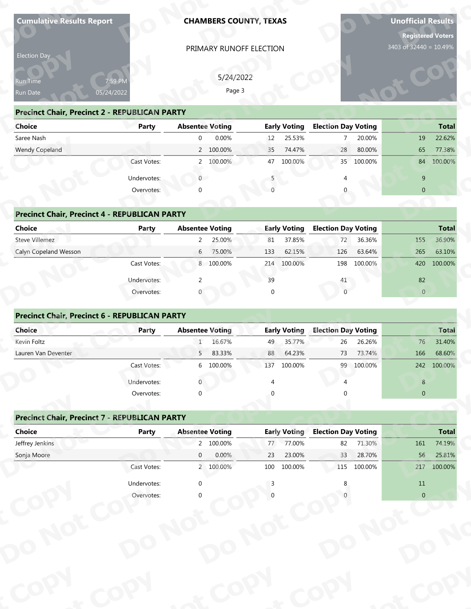| PRIMARY RUNOFF ELECTION<br>Election Day                                                                                                                            |         | <b>Registered Voters</b><br>3403 of 32440 = 10.49% | <b>Unofficial Results</b> |
|--------------------------------------------------------------------------------------------------------------------------------------------------------------------|---------|----------------------------------------------------|---------------------------|
|                                                                                                                                                                    |         |                                                    |                           |
|                                                                                                                                                                    |         |                                                    |                           |
| 5/24/2022<br>Run Time<br>7:59 PM                                                                                                                                   |         |                                                    |                           |
| Page 3<br>05/24/2022<br>Run Date                                                                                                                                   |         |                                                    |                           |
| <b>Precinct Chair, Precinct 2 - REPUBLICAN PARTY</b>                                                                                                               |         |                                                    |                           |
| <b>Early Voting</b><br><b>Election Day Voting</b><br><b>Choice</b><br><b>Absentee Voting</b><br>Party                                                              |         |                                                    | <b>Total</b>              |
| Saree Nash<br>0.00%<br>25.53%<br>$\overline{0}$<br>12<br>$\overline{7}$                                                                                            | 20.00%  | 19                                                 | 22.62%                    |
| Wendy Copeland<br>2 100.00%<br>35<br>74.47%<br>28                                                                                                                  | 80.00%  | 65                                                 | 77.38%                    |
| Cast Votes:<br>2 100.00%<br>47<br>100.00%<br>35                                                                                                                    | 100.00% |                                                    | 84 100.00%                |
| $\overline{0}$<br>Undervotes:                                                                                                                                      |         | 9                                                  |                           |
| Overvotes:<br>∩                                                                                                                                                    |         | $\overline{0}$                                     |                           |
| <b>Precinct Chair, Precinct 4 - REPUBLICAN PARTY</b>                                                                                                               |         |                                                    |                           |
| <b>Choice</b><br><b>Absentee Voting</b><br><b>Early Voting</b><br><b>Election Day Voting</b><br><b>Party</b>                                                       |         |                                                    | <b>Total</b>              |
| Steve Villemez<br>$\overline{2}$<br>25.00%<br>81<br>37.85%<br>72                                                                                                   | 36.36%  | 155                                                | 36.90%                    |
| Calyn Copeland Wesson<br>6 75.00%<br>62.15%<br>133<br>126                                                                                                          | 63.64%  | 265                                                | 63.10%                    |
| Cast Votes:<br>214 100.00%<br>8 100.00%<br>198                                                                                                                     | 100.00% | 420                                                | 100.00%                   |
| 39<br>Undervotes:<br>2<br>41                                                                                                                                       |         | 82                                                 |                           |
| $\Omega$<br>$\Omega$<br>Overvotes:                                                                                                                                 |         | $\overline{0}$                                     |                           |
| Precinct Chair, Precinct 6 - REPUBLICAN PARTY<br><b>Absentee Voting</b><br><b>Election Day Voting</b><br>Choice<br>Party<br><b>Early Voting</b>                    |         |                                                    | Total                     |
| Kevin Foltz<br>16.67%<br>35.77%<br>26<br>$\mathbf{1}$<br>49                                                                                                        | 26.26%  | 76                                                 | 31.40%                    |
| Lauren Van Deventer<br>83.33%<br>88<br>64.23%<br>73<br>5 <sub>1</sub>                                                                                              | 73.74%  | 166                                                | 68.60%                    |
| Cast Votes:<br>6 100.00%<br>137<br>100.00%<br>99                                                                                                                   | 100.00% |                                                    | 242 100.00%               |
| Undervotes:                                                                                                                                                        |         | $8\phantom{.}$                                     |                           |
| Overvotes:<br>$\Omega$                                                                                                                                             |         | $\overline{0}$                                     |                           |
|                                                                                                                                                                    |         |                                                    |                           |
| <b>Precinct Chair, Precinct 7 - REPUBLICAN PARTY</b>                                                                                                               |         |                                                    |                           |
| <b>Election Day Voting</b><br><b>Choice</b><br><b>Absentee Voting</b><br><b>Early Voting</b><br><b>Party</b><br>Jeffrey Jenkins<br>2 100.00%<br>77.00%<br>82<br>77 | 71.30%  | 161                                                | <b>Total</b><br>74.19%    |
|                                                                                                                                                                    | 28.70%  | 56                                                 | 25.81%                    |
|                                                                                                                                                                    | 100.00% |                                                    | 217 100.00%               |
| Sonja Moore<br>0.00%<br>$\overline{0}$<br>23.00%<br>33<br>23<br>Cast Votes:<br>2 100.00%<br>100<br>100.00%<br>115                                                  |         |                                                    |                           |
| Undervotes:<br>$\mathbf 0$                                                                                                                                         |         | $11\,$                                             |                           |

| Election Day                                         |              |                        |                     |                            |                |
|------------------------------------------------------|--------------|------------------------|---------------------|----------------------------|----------------|
| Run Time                                             | 7:59 PM      | 5/24/2022              |                     |                            |                |
| Run Date                                             | 05/24/2022   | Page 3                 |                     |                            |                |
| <b>Precinct Chair, Precinct 2 - REPUBLICAN PARTY</b> |              |                        |                     |                            |                |
| Choice                                               | <b>Party</b> | <b>Absentee Voting</b> | <b>Early Voting</b> | <b>Election Day Voting</b> | <b>Total</b>   |
| Saree Nash                                           |              | 0.00%<br>$\mathbf 0$   | 25.53%<br>12        | 20.00%<br>$\overline{7}$   | 22.62%<br>19   |
| Wendy Copeland                                       |              | 2 100.00%              | 35<br>74.47%        | 28<br>80.00%               | 77.38%<br>65   |
|                                                      | Cast Votes:  | 2 100.00%              | 47<br>100.00%       | 35<br>100.00%              | 100.00%<br>84  |
|                                                      | Undervotes:  | $\overline{0}$         |                     |                            | 9              |
|                                                      | Overvotes:   | $\Omega$               |                     |                            | $\overline{0}$ |
|                                                      |              |                        |                     |                            |                |
| <b>Precinct Chair, Precinct 4 - REPUBLICAN PARTY</b> |              |                        |                     |                            |                |
| Choice                                               | Party        | <b>Absentee Voting</b> | <b>Early Voting</b> | <b>Election Day Voting</b> | <b>Total</b>   |
| Steve Villemez                                       |              | 25.00%<br>$2^{\circ}$  | 37.85%<br>81        | 36.36%<br>72               | 36.90%<br>155  |
| Calyn Copeland Wesson                                |              | 75.00%<br>6            | 133<br>62.15%       | 126<br>63.64%              | 265<br>63.10%  |
|                                                      | Cast Votes:  | 8 100.00%              | 214 100.00%         | 198<br>100.00%             | 420<br>100.00% |
|                                                      | Undervotes:  | $\mathcal{P}$          | 39                  | 41                         | 82             |
|                                                      | Overvotes:   |                        | $\Omega$            | $\Omega$                   | $\overline{0}$ |
|                                                      |              |                        |                     |                            |                |
| Precinct Chair, Precinct 6 - REPUBLICAN PARTY        |              |                        |                     |                            |                |
| Choice                                               | Party        | <b>Absentee Voting</b> | <b>Early Voting</b> | <b>Election Day Voting</b> | <b>Total</b>   |
| Kevin Foltz                                          |              | 16.67%<br>$\mathbf{1}$ | 35.77%<br>49        | 26.26%<br>26               | 31.40%<br>76   |
| Lauren Van Deventer                                  |              | 83.33%<br>5            | 88<br>64.23%        | 73<br>73.74%               | 68.60%<br>166  |
|                                                      | Cast Votes:  | 6 100.00%              | 100.00%<br>137      | 99<br>100.00%              | 242<br>100.00% |
|                                                      | Undervotes:  | $\mathbf 0$            | 4                   |                            | $\bf 8$        |
|                                                      | Overvotes:   | $\Omega$               |                     |                            | $\overline{0}$ |
|                                                      |              |                        |                     |                            |                |
| <b>Precinct Chair, Precinct 7 - REPUBLICAN PARTY</b> |              |                        |                     |                            |                |
| Choice                                               | <b>Party</b> | <b>Absentee Voting</b> | <b>Early Voting</b> | <b>Election Day Voting</b> | <b>Total</b>   |
| Jeffrey Jenkins                                      |              | 2 100.00%              | 77.00%<br>77        | 71.30%<br>82               | 74.19%<br>161  |
| Conis                                                |              | 0.000<br>$\cap$        | วว<br>VOUU CC       | 22<br>20.700/              | E C<br>2E010/  |

# **Drecinct Chair, Precinct 4 - REPUBLI**

| Saree Nash                                           |              | 0.00%<br>$\mathbf{0}$  | 25.53%<br>12        | 20.00%<br>$\overline{7}$   | 22.62%<br>19   |
|------------------------------------------------------|--------------|------------------------|---------------------|----------------------------|----------------|
| Wendy Copeland                                       |              | 2 100.00%              | 74.47%<br>35        | 80.00%<br>28               | 65<br>77.38%   |
|                                                      | Cast Votes:  | 100.00%                | 47<br>100.00%       | 35 100.00%                 | 84 100.00%     |
|                                                      | Undervotes:  | $\overline{0}$         |                     |                            | 9              |
|                                                      | Overvotes:   | $\mathbf 0$            |                     | $\Omega$                   | $\overline{0}$ |
|                                                      |              |                        |                     |                            |                |
| <b>Precinct Chair, Precinct 4 - REPUBLICAN PARTY</b> |              |                        |                     |                            |                |
| <b>Choice</b>                                        | <b>Party</b> | <b>Absentee Voting</b> | <b>Early Voting</b> | <b>Election Day Voting</b> | <b>Total</b>   |
| Steve Villemez                                       |              | 2<br>25.00%            | 37.85%<br>81        | 36.36%<br>72               | 155<br>36.90%  |
| Calyn Copeland Wesson                                |              | 75.00%<br>6            | 62.15%<br>133       | 126<br>63.64%              | 265<br>63.10%  |
|                                                      | Cast Votes:  | 8 100.00%              | 100.00%<br>214      | 100.00%<br>198             | 420<br>100.00% |
|                                                      | Undervotes:  | $\overline{2}$         | 39                  | 41                         | 82             |
|                                                      | Overvotes:   | 0                      | $\mathbf 0$         | $\mathbf{0}$               | $\overline{0}$ |
|                                                      |              |                        |                     |                            |                |
| <b>Precinct Chair, Precinct 6 - REPUBLICAN PARTY</b> |              |                        |                     |                            |                |
| Choice                                               | Party        | <b>Absentee Voting</b> | <b>Early Voting</b> | <b>Election Day Voting</b> | <b>Total</b>   |
| Kevin Foltz                                          |              | 16.67%                 | 35.77%<br>49        | 26.26%<br>26               | 76<br>31.40%   |
| Lauren Van Deventer                                  |              | 83.33%<br>5            | 64.23%<br>88        | 73.74%<br>73               | 166<br>68.60%  |
|                                                      | Cast Votes:  | 6 100.00%              | 137<br>100.00%      | 99 100.00%                 | 100.00%<br>242 |
|                                                      |              |                        |                     |                            |                |

| <b>Choice</b>                                        | Party        | <b>Absentee Voting</b> |                                  |             | Early Voting        | <b>Election Day Voting</b> |         |                | Total          |
|------------------------------------------------------|--------------|------------------------|----------------------------------|-------------|---------------------|----------------------------|---------|----------------|----------------|
| Steve Villemez                                       |              | $2^{\circ}$            | 25.00%                           | 81          | 37.85%              | 72                         | 36.36%  | 155            | 36.90%         |
| Calyn Copeland Wesson                                |              | 6                      | 75.00%                           | 133         | 62.15%              | 126                        | 63.64%  | 265            | 63.10%         |
|                                                      | Cast Votes:  |                        | 8 100.00%                        | 214         | 100.00%             | 198                        | 100.00% | 420            | 100.00%        |
|                                                      | Undervotes:  | $\mathcal{P}$          |                                  | 39          |                     | 41                         |         | 82             |                |
|                                                      | Overvotes:   |                        |                                  | $\mathbf 0$ |                     | $\mathbf{0}$               |         | $\overline{0}$ |                |
|                                                      |              |                        |                                  |             |                     |                            |         |                |                |
| <b>Precinct Chair, Precinct 6 - REPUBLICAN PARTY</b> |              |                        |                                  |             |                     |                            |         |                |                |
| Choice                                               | Party        | <b>Absentee Voting</b> |                                  |             | <b>Early Voting</b> | <b>Election Day Voting</b> |         |                | <b>Total</b>   |
| Kevin Foltz                                          |              |                        | 16.67%                           | 49          | 35.77%              | 26                         | 26.26%  | 76             | 31.40%         |
| Lauren Van Deventer                                  |              | 5 <sup>7</sup>         | 83.33%                           | 88          | 64.23%              | 73                         | 73.74%  | 166            | 68.60%         |
|                                                      | Cast Votes:  |                        | 6 100.00%                        | 137         | 100.00%             | 99                         | 100.00% | 242            | 100.00%        |
|                                                      | Undervotes:  |                        |                                  |             |                     |                            |         | 8              |                |
|                                                      | Overvotes:   | $\Omega$               |                                  | $\Omega$    |                     |                            |         | $\mathbf{0}$   |                |
|                                                      |              |                        |                                  |             |                     |                            |         |                |                |
| <b>Precinct Chair, Precinct 7 - REPUBLICAN PARTY</b> |              |                        |                                  |             |                     |                            |         |                |                |
| <b>Choice</b>                                        | <b>Party</b> | <b>Absentee Voting</b> |                                  |             | <b>Early Voting</b> | <b>Election Day Voting</b> |         |                | <b>Total</b>   |
| Jeffrey Jenkins                                      |              |                        | 2 100.00%                        | 77          | 77.00%              | 82                         | 71.30%  | 161            | 74.19%         |
| Conia Moore                                          |              | $\cap$                 | $\Omega$ $\Omega$ <sup>o</sup> / | າາ          | 22 UUOS             | 22                         | 20 700/ | 56             | <b>OL 010/</b> |

### **Precinct Chair, Precinct 7 - REPUBLICAN PARTY<br>Choice Party Party Ab<br>Jeffrev Jenkins Choice Precinct Chair, Precinct 7 - REPUBLICAN PARTY**<br> **Choice** Party Absentee Voting **Election Day Voting** Jeffrey Jenkins 2 100.00% 77 77.00% 82 71.30% 161 74.19% Sonja Moore 0 0.00% 23 23.00% 33 28.70% 56 25.81% Cast Votes: 2 100.00% 100 100.00% 115 100.00% 217 100.00% Undervotes: 0 3 8 11 Overvotes: 0 0 0 0 **ot**  $\overline{\text{O}}$  **p**  $\overline{\text{O}}$ **y**<br>byervotes **D otP**<br> **p**<br> **p**<br> **p**<br> **p**  $\begin{bmatrix} 3 \\ 0 \end{bmatrix}$ **py o**<br>**or** Votes **the vertex vertex of the vertex vertex vertex vertex vertex vertex vertex vertex vertex vertex vertex vertex vertex vertex vertex vertex vertex vertex vertex vertex vertex vertex vertex vertex vertex vertex vertex vertex y Cast** Absentee **ot <sup>o</sup> PARTY**<br> **Absentee Voting**<br> **EXECUTE:**<br> **Absentee Voting**<br> **EXECUTE:**<br> **PARTY**<br> **BARTY**<br> **BARTY**<br> **BARTY**<br> **BARTY**<br> **BARTY**<br> **BARTY**<br> **BARTY**<br> **BARTY**<br> **BARTY**<br> **BARTY**<br> **BARTY**<br> **BARTY**<br> **BARTY**<br> **BARTY**<br> **BARTY**<br> **BARTY o y P py Precinct Chair, Precinct 6 - REPUBLICAN<br>
Choice**<br>
Revin Foltz<br>
Lauren Van Deventer<br>
Cast Votes<br>
Undervotes<br>
Overvotes<br> **Precinct Chair, Precinct 7 - REPUBLICAN<br>
Choice**<br>
Party<br>
Jeffrey Jenkins<br>
Sonja Moore<br>
Cast Votes<br>
Un **Precinct Chair, Precinct 2 - REPUBLICAN**<br>
Saree Nash<br>
Wendy Copeland<br>
Wendy Copeland<br>
Cast Votes<br>
Undervotes<br>
Overvotes<br>
Precinct Chair, Precinct 4 - REPUBLICAN<br>
Colvey Villemez<br>
Calyn Copeland Wesson<br>
Cast Votes<br>
Undervo **call**<br> **ch**<br> **ch**<br> **ch**<br> **ch**<br> **ch**<br> **ch**<br> **ch**<br> **ch**<br> **ch**<br> **ch**<br> **ch**<br> **ch Choice**<br>
Steve Villemez<br>
Calyn Copeland Wesson<br> **Precinct Chair, Precinc<br>
Choice<br>
Alexander Van Deventer<br>
Precinct Chair, Precinc<br>
Choice<br>
Effrey Jenkins<br>
Sonja Moore<br>
Alexander Van Deventer<br>
Sonja Moore Precinct Chair, Precinct 7 - REPUBLICAN**<br> **Choice**<br> *Jeffrey Jenkins* Sonja Moore Jeffrey Jenkins **Early Voting**<br>77 77.00%<br>23 23.00% Party<br>
Party<br>
Party<br>
Didervotes<br>
Undervotes<br>
Undervotes<br>
Overvotes<br>
Overvotes<br>
Party<br>
Overvotes<br>
Overvotes<br>
Overvotes<br>
Overvotes<br>
Overvotes<br>
Overvotes<br>
Overvotes<br>
Overvotes<br>
Overvotes<br>
Overvotes<br>
Overvotes<br>
Overvotes<br>
Over **pyoCo yot pypy**  $\epsilon^{\text{cop}}$ **yot outburned as a control of the control of the control of the control of the control of the control of the control of the control of the control of the control of the control of the control of the control of the control of Do** $\frac{0\%}{0\%}$ **For Total**<br>
26.26%<br>
75 31.40%<br>
76 31.40%<br>
76 31.40%<br>
26 68.60%<br>
242 100.00%<br>
8<br>
0<br> **Poting<br>
71.30%<br>
71.30%<br>
71.30%<br>
26 25.81%<br>
27 100.00%<br>
217 100.00%<br>
11<br>
0<br>
217 100.00%<br>
11<br>
0 oyouting**<br> **kg**<br> **youting**<br> **youting**<br> **youting**<br> **youting**<br> **youting**<br> **youting**<br> **youting**<br> **youting**<br> **youting**<br> **youting**<br> **youting**<br> **youting**<br> **youting**<br> **youting**<br> **youting**<br> **youting**<br> **youting**<br> **youting**<br> **youtin pyD N o Cot op Total**<br>161 74.19%<br>56 25.81%<br>217 100.00% **py Dollary Voting 161 74.19%<br>
82 71.30% 161 74.19%<br>
33 28.70% 56 25.81%<br>
115 100.00% 217 100.00%**